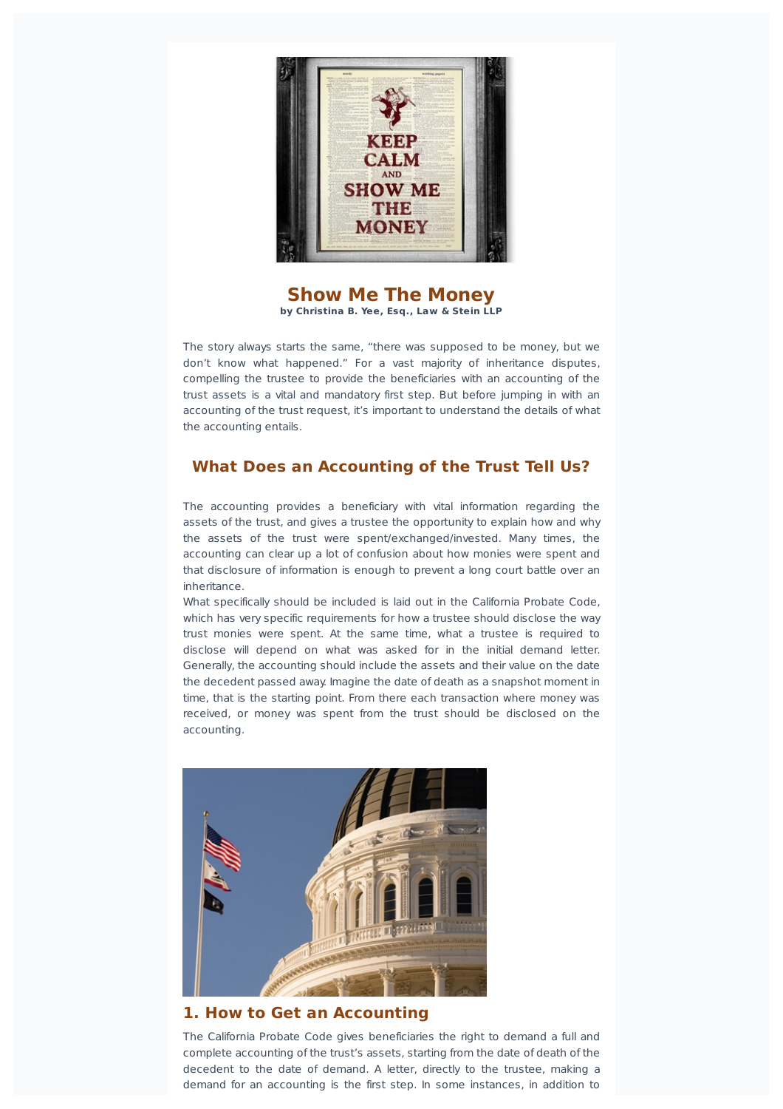

#### **Show Me The Money by Christina B. Yee, Esq., Law & Stein LLP**

The story always starts the same, "there was supposed to be money, but we don't know what happened." For a vast majority of inheritance disputes, compelling the trustee to provide the beneficiaries with an accounting of the trust assets is a vital and mandatory first step. But before jumping in with an accounting of the trust request, it's important to understand the details of what the accounting entails.

# **What Does an Accounting of the Trust Tell Us?**

The accounting provides a beneficiary with vital information regarding the assets of the trust, and gives a trustee the opportunity to explain how and why the assets of the trust were spent/exchanged/invested. Many times, the accounting can clear up a lot of confusion about how monies were spent and that disclosure of information is enough to prevent a long court battle over an inheritance.

What specifically should be included is laid out in the California Probate Code, which has very specific requirements for how a trustee should disclose the way trust monies were spent. At the same time, what a trustee is required to disclose will depend on what was asked for in the initial demand letter. Generally, the accounting should include the assets and their value on the date the decedent passed away. Imagine the date of death as a snapshot moment in time, that is the starting point. From there each transaction where money was received, or money was spent from the trust should be disclosed on the accounting.



#### **1. How to Get an Accounting**

The California Probate Code gives beneficiaries the right to demand a full and complete accounting of the trust's assets, starting from the date of death of the decedent to the date of demand. A letter, directly to the trustee, making a demand for an accounting is the first step. In some instances, in addition to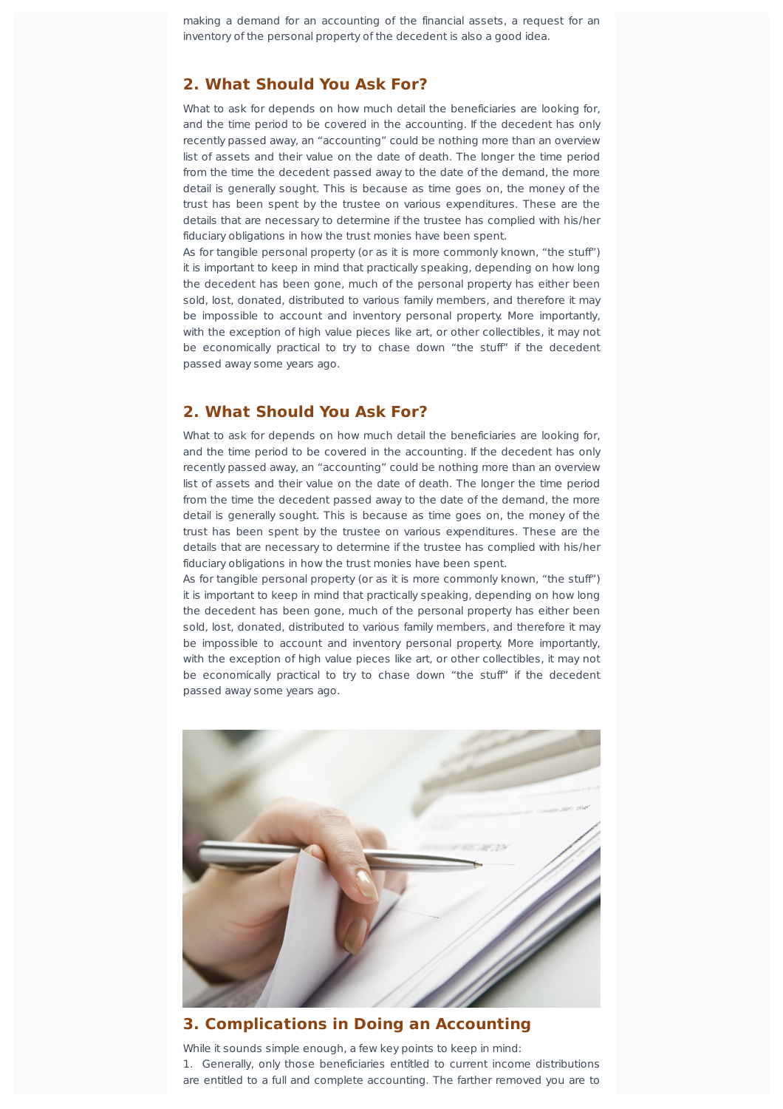making a demand for an accounting of the financial assets, a request for an inventory of the personal property of the decedent is also a good idea.

#### **2. What Should You Ask For?**

What to ask for depends on how much detail the beneficiaries are looking for, and the time period to be covered in the accounting. If the decedent has only recently passed away, an "accounting" could be nothing more than an overview list of assets and their value on the date of death. The longer the time period from the time the decedent passed away to the date of the demand, the more detail is generally sought. This is because as time goes on, the money of the trust has been spent by the trustee on various expenditures. These are the details that are necessary to determine if the trustee has complied with his/her fiduciary obligations in how the trust monies have been spent.

As for tangible personal property (or as it is more commonly known, "the stuff") it is important to keep in mind that practically speaking, depending on how long the decedent has been gone, much of the personal property has either been sold, lost, donated, distributed to various family members, and therefore it may be impossible to account and inventory personal property. More importantly, with the exception of high value pieces like art, or other collectibles, it may not be economically practical to try to chase down "the stuff" if the decedent passed away some years ago.

# **2. What Should You Ask For?**

What to ask for depends on how much detail the beneficiaries are looking for, and the time period to be covered in the accounting. If the decedent has only recently passed away, an "accounting" could be nothing more than an overview list of assets and their value on the date of death. The longer the time period from the time the decedent passed away to the date of the demand, the more detail is generally sought. This is because as time goes on, the money of the trust has been spent by the trustee on various expenditures. These are the details that are necessary to determine if the trustee has complied with his/her fiduciary obligations in how the trust monies have been spent.

As for tangible personal property (or as it is more commonly known, "the stuff") it is important to keep in mind that practically speaking, depending on how long the decedent has been gone, much of the personal property has either been sold, lost, donated, distributed to various family members, and therefore it may be impossible to account and inventory personal property. More importantly, with the exception of high value pieces like art, or other collectibles, it may not be economically practical to try to chase down "the stuff" if the decedent passed away some years ago.



#### **3. Complications in Doing an Accounting**

While it sounds simple enough, a few key points to keep in mind: 1. Generally, only those beneficiaries entitled to current income distributions are entitled to a full and complete accounting. The farther removed you are to